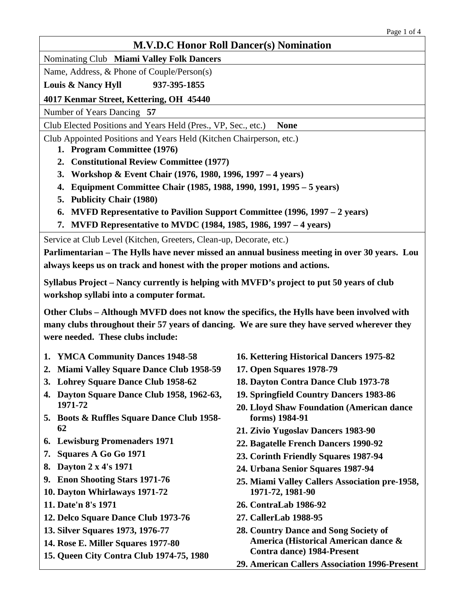Nominating Club **Miami Valley Folk Dancers**

Name, Address, & Phone of Couple/Person(s)

**Louis & Nancy Hyll 937-395-1855**

#### **4017 Kenmar Street, Kettering, OH 45440**

Number of Years Dancing **57**

Club Elected Positions and Years Held (Pres., VP, Sec., etc.) **None**

Club Appointed Positions and Years Held (Kitchen Chairperson, etc.)

- **1. Program Committee (1976)**
- **2. Constitutional Review Committee (1977)**
- **3. Workshop & Event Chair (1976, 1980, 1996, 1997 – 4 years)**
- **4. Equipment Committee Chair (1985, 1988, 1990, 1991, 1995 – 5 years)**
- **5. Publicity Chair (1980)**
- **6. MVFD Representative to Pavilion Support Committee (1996, 1997 – 2 years)**
- **7. MVFD Representative to MVDC (1984, 1985, 1986, 1997 – 4 years)**

Service at Club Level (Kitchen, Greeters, Clean-up, Decorate, etc.)

**Parlimentarian – The Hylls have never missed an annual business meeting in over 30 years. Lou always keeps us on track and honest with the proper motions and actions.**

**Syllabus Project – Nancy currently is helping with MVFD's project to put 50 years of club workshop syllabi into a computer format.**

**Other Clubs – Although MVFD does not know the specifics, the Hylls have been involved with many clubs throughout their 57 years of dancing. We are sure they have served wherever they were needed. These clubs include:** 

- **1. YMCA Community Dances 1948-58**
- **2. Miami Valley Square Dance Club 1958-59**
- **3. Lohrey Square Dance Club 1958-62**
- **4. Dayton Square Dance Club 1958, 1962-63, 1971-72**
- **5. Boots & Ruffles Square Dance Club 1958- 62**
- **6. Lewisburg Promenaders 1971**
- **7. Squares A Go Go 1971**
- **8. Dayton 2 x 4's 1971**
- **9. Enon Shooting Stars 1971-76**
- **10. Dayton Whirlaways 1971-72**
- **11. Date'n 8's 1971**
- **12. Delco Square Dance Club 1973-76**
- **13. Silver Squares 1973, 1976-77**
- **14. Rose E. Miller Squares 1977-80**
- **15. Queen City Contra Club 1974-75, 1980**
- **16. Kettering Historical Dancers 1975-82**
- **17. Open Squares 1978-79**
- **18. Dayton Contra Dance Club 1973-78**
- **19. Springfield Country Dancers 1983-86**
- **20. Lloyd Shaw Foundation (American dance forms) 1984-91**
- **21. Zivio Yugoslav Dancers 1983-90**
- **22. Bagatelle French Dancers 1990-92**
- **23. Corinth Friendly Squares 1987-94**
- **24. Urbana Senior Squares 1987-94**
- **25. Miami Valley Callers Association pre-1958, 1971-72, 1981-90**
- **26. ContraLab 1986-92**
- **27. CallerLab 1988-95**
- **28. Country Dance and Song Society of America (Historical American dance & Contra dance) 1984-Present**
- **29. American Callers Association 1996-Present**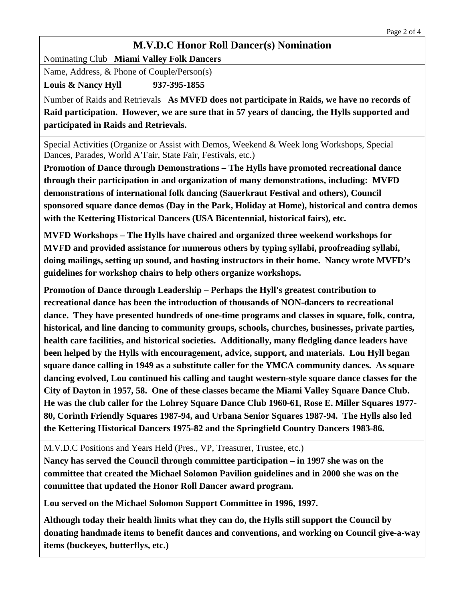Nominating Club **Miami Valley Folk Dancers**

Name, Address, & Phone of Couple/Person(s) **Louis & Nancy Hyll 937-395-1855**

Number of Raids and Retrievals **As MVFD does not participate in Raids, we have no records of Raid participation. However, we are sure that in 57 years of dancing, the Hylls supported and participated in Raids and Retrievals.**

Special Activities (Organize or Assist with Demos, Weekend & Week long Workshops, Special Dances, Parades, World A'Fair, State Fair, Festivals, etc.)

**Promotion of Dance through Demonstrations – The Hylls have promoted recreational dance through their participation in and organization of many demonstrations, including: MVFD demonstrations of international folk dancing (Sauerkraut Festival and others), Council sponsored square dance demos (Day in the Park, Holiday at Home), historical and contra demos with the Kettering Historical Dancers (USA Bicentennial, historical fairs), etc.** 

**MVFD Workshops – The Hylls have chaired and organized three weekend workshops for MVFD and provided assistance for numerous others by typing syllabi, proofreading syllabi, doing mailings, setting up sound, and hosting instructors in their home. Nancy wrote MVFD's guidelines for workshop chairs to help others organize workshops.**

**Promotion of Dance through Leadership – Perhaps the Hyll's greatest contribution to recreational dance has been the introduction of thousands of NON-dancers to recreational dance. They have presented hundreds of one-time programs and classes in square, folk, contra, historical, and line dancing to community groups, schools, churches, businesses, private parties, health care facilities, and historical societies. Additionally, many fledgling dance leaders have been helped by the Hylls with encouragement, advice, support, and materials. Lou Hyll began square dance calling in 1949 as a substitute caller for the YMCA community dances. As square dancing evolved, Lou continued his calling and taught western-style square dance classes for the City of Dayton in 1957, 58. One of these classes became the Miami Valley Square Dance Club. He was the club caller for the Lohrey Square Dance Club 1960-61, Rose E. Miller Squares 1977- 80, Corinth Friendly Squares 1987-94, and Urbana Senior Squares 1987-94. The Hylls also led the Kettering Historical Dancers 1975-82 and the Springfield Country Dancers 1983-86.**

M.V.D.C Positions and Years Held (Pres., VP, Treasurer, Trustee, etc.)

**Nancy has served the Council through committee participation – in 1997 she was on the committee that created the Michael Solomon Pavilion guidelines and in 2000 she was on the committee that updated the Honor Roll Dancer award program.**

**Lou served on the Michael Solomon Support Committee in 1996, 1997.**

**Although today their health limits what they can do, the Hylls still support the Council by donating handmade items to benefit dances and conventions, and working on Council give-a-way items (buckeyes, butterflys, etc.)**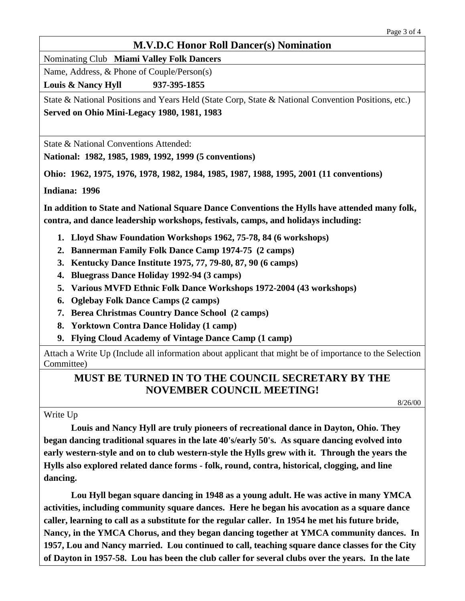Nominating Club **Miami Valley Folk Dancers**

Name, Address, & Phone of Couple/Person(s)

**Louis & Nancy Hyll 937-395-1855**

State & National Positions and Years Held (State Corp, State & National Convention Positions, etc.) **Served on Ohio Mini-Legacy 1980, 1981, 1983**

State & National Conventions Attended:

**National: 1982, 1985, 1989, 1992, 1999 (5 conventions)**

**Ohio: 1962, 1975, 1976, 1978, 1982, 1984, 1985, 1987, 1988, 1995, 2001 (11 conventions)**

**Indiana: 1996**

**In addition to State and National Square Dance Conventions the Hylls have attended many folk, contra, and dance leadership workshops, festivals, camps, and holidays including:** 

- **1. Lloyd Shaw Foundation Workshops 1962, 75-78, 84 (6 workshops)**
- **2. Bannerman Family Folk Dance Camp 1974-75 (2 camps)**
- **3. Kentucky Dance Institute 1975, 77, 79-80, 87, 90 (6 camps)**
- **4. Bluegrass Dance Holiday 1992-94 (3 camps)**
- **5. Various MVFD Ethnic Folk Dance Workshops 1972-2004 (43 workshops)**
- **6. Oglebay Folk Dance Camps (2 camps)**
- **7. Berea Christmas Country Dance School (2 camps)**
- **8. Yorktown Contra Dance Holiday (1 camp)**
- **9. Flying Cloud Academy of Vintage Dance Camp (1 camp)**

Attach a Write Up (Include all information about applicant that might be of importance to the Selection Committee)

## **MUST BE TURNED IN TO THE COUNCIL SECRETARY BY THE NOVEMBER COUNCIL MEETING!**

8/26/00

Write Up

**Louis and Nancy Hyll are truly pioneers of recreational dance in Dayton, Ohio. They began dancing traditional squares in the late 40's/early 50's. As square dancing evolved into early western-style and on to club western-style the Hylls grew with it. Through the years the Hylls also explored related dance forms - folk, round, contra, historical, clogging, and line dancing.** 

**Lou Hyll began square dancing in 1948 as a young adult. He was active in many YMCA activities, including community square dances. Here he began his avocation as a square dance caller, learning to call as a substitute for the regular caller. In 1954 he met his future bride, Nancy, in the YMCA Chorus, and they began dancing together at YMCA community dances. In 1957, Lou and Nancy married. Lou continued to call, teaching square dance classes for the City of Dayton in 1957-58. Lou has been the club caller for several clubs over the years. In the late**